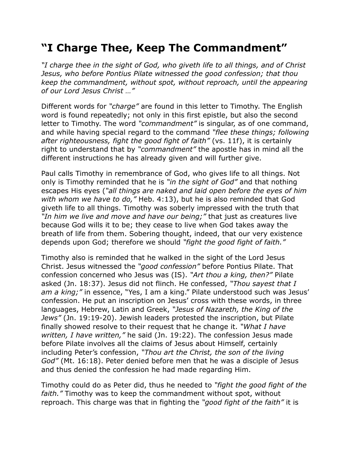## **"I Charge Thee, Keep The Commandment"**

*"I charge thee in the sight of God, who giveth life to all things, and of Christ Jesus, who before Pontius Pilate witnessed the good confession; that thou keep the commandment, without spot, without reproach, until the appearing of our Lord Jesus Christ …"*

Different words for *"charge"* are found in this letter to Timothy. The English word is found repeatedly; not only in this first epistle, but also the second letter to Timothy. The word *"commandment"* is singular, as of one command, and while having special regard to the command *"flee these things; following after righteousness, fight the good fight of faith"* (vs. 11f), it is certainly right to understand that by *"commandment"* the apostle has in mind all the different instructions he has already given and will further give.

Paul calls Timothy in remembrance of God, who gives life to all things. Not only is Timothy reminded that he is *"in the sight of God"* and that nothing escapes His eyes (*"all things are naked and laid open before the eyes of him with whom we have to do,"* Heb. 4:13), but he is also reminded that God giveth life to all things. Timothy was soberly impressed with the truth that *"In him we live and move and have our being;"* that just as creatures live because God wills it to be; they cease to live when God takes away the breath of life from them. Sobering thought, indeed, that our very existence depends upon God; therefore we should *"fight the good fight of faith."*

Timothy also is reminded that he walked in the sight of the Lord Jesus Christ. Jesus witnessed the *"good confession"* before Pontius Pilate. That confession concerned who Jesus was (IS). *"Art thou a king, then?"* Pilate asked (Jn. 18:37). Jesus did not flinch. He confessed, *"Thou sayest that I am a king;"* in essence, "Yes, I am a king." Pilate understood such was Jesus' confession. He put an inscription on Jesus' cross with these words, in three languages, Hebrew, Latin and Greek, *"Jesus of Nazareth, the King of the Jews"* (Jn. 19:19-20). Jewish leaders protested the inscription, but Pilate finally showed resolve to their request that he change it. *"What I have written, I have written,"* he said (Jn. 19:22). The confession Jesus made before Pilate involves all the claims of Jesus about Himself, certainly including Peter's confession, *"Thou art the Christ, the son of the living God"* (Mt. 16:18). Peter denied before men that he was a disciple of Jesus and thus denied the confession he had made regarding Him.

Timothy could do as Peter did, thus he needed to *"fight the good fight of the faith."* Timothy was to keep the commandment without spot, without reproach. This charge was that in fighting the *"good fight of the faith"* it is